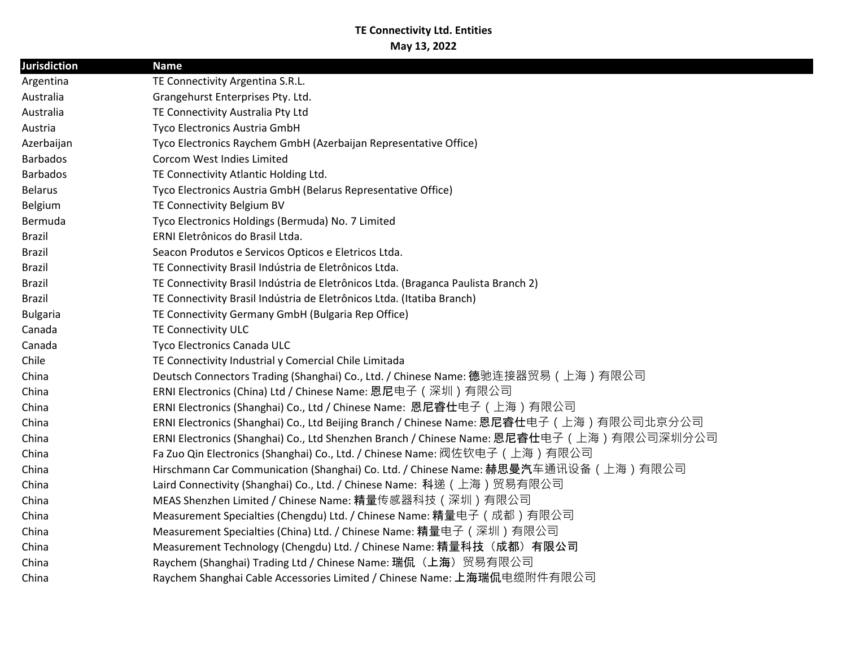| <b>Jurisdiction</b> | <b>Name</b>                                                                               |
|---------------------|-------------------------------------------------------------------------------------------|
| Argentina           | TE Connectivity Argentina S.R.L.                                                          |
| Australia           | Grangehurst Enterprises Pty. Ltd.                                                         |
| Australia           | TE Connectivity Australia Pty Ltd                                                         |
| Austria             | Tyco Electronics Austria GmbH                                                             |
| Azerbaijan          | Tyco Electronics Raychem GmbH (Azerbaijan Representative Office)                          |
| <b>Barbados</b>     | Corcom West Indies Limited                                                                |
| <b>Barbados</b>     | TE Connectivity Atlantic Holding Ltd.                                                     |
| <b>Belarus</b>      | Tyco Electronics Austria GmbH (Belarus Representative Office)                             |
| Belgium             | TE Connectivity Belgium BV                                                                |
| Bermuda             | Tyco Electronics Holdings (Bermuda) No. 7 Limited                                         |
| <b>Brazil</b>       | ERNI Eletrônicos do Brasil Ltda.                                                          |
| <b>Brazil</b>       | Seacon Produtos e Servicos Opticos e Eletricos Ltda.                                      |
| <b>Brazil</b>       | TE Connectivity Brasil Indústria de Eletrônicos Ltda.                                     |
| <b>Brazil</b>       | TE Connectivity Brasil Indústria de Eletrônicos Ltda. (Braganca Paulista Branch 2)        |
| <b>Brazil</b>       | TE Connectivity Brasil Indústria de Eletrônicos Ltda. (Itatiba Branch)                    |
| <b>Bulgaria</b>     | TE Connectivity Germany GmbH (Bulgaria Rep Office)                                        |
| Canada              | TE Connectivity ULC                                                                       |
| Canada              | Tyco Electronics Canada ULC                                                               |
| Chile               | TE Connectivity Industrial y Comercial Chile Limitada                                     |
| China               | Deutsch Connectors Trading (Shanghai) Co., Ltd. / Chinese Name: 德驰连接器贸易 (上海) 有限公司         |
| China               | ERNI Electronics (China) Ltd / Chinese Name: 恩尼电子 ( 深圳 ) 有限公司                             |
| China               | ERNI Electronics (Shanghai) Co., Ltd / Chinese Name: 恩尼睿仕电子 (上海) 有限公司                     |
| China               | ERNI Electronics (Shanghai) Co., Ltd Beijing Branch / Chinese Name: 恩尼睿仕电子 (上海) 有限公司北京分公司 |
| China               | ERNI Electronics (Shanghai) Co., Ltd Shenzhen Branch / Chinese Name: 恩尼睿仕电子(上海)有限公司深圳分公司  |
| China               | Fa Zuo Qin Electronics (Shanghai) Co., Ltd. / Chinese Name: 阀佐钦电子 (上海) 有限公司               |
| China               | Hirschmann Car Communication (Shanghai) Co. Ltd. / Chinese Name: 赫思曼汽车通讯设备(上海)有限公司        |
| China               | Laird Connectivity (Shanghai) Co., Ltd. / Chinese Name: 科递 (上海) 贸易有限公司                    |
| China               | MEAS Shenzhen Limited / Chinese Name: 精量传感器科技 ( 深圳 ) 有限公司                                 |
| China               | Measurement Specialties (Chengdu) Ltd. / Chinese Name: 精量电子 (成都) 有限公司                     |
| China               | Measurement Specialties (China) Ltd. / Chinese Name: 精量电子 (深圳) 有限公司                       |
| China               | Measurement Technology (Chengdu) Ltd. / Chinese Name: 精量科技(成都)有限公司                        |
| China               | Raychem (Shanghai) Trading Ltd / Chinese Name: 瑞侃 (上海) 贸易有限公司                             |
| China               | Raychem Shanghai Cable Accessories Limited / Chinese Name: 上海瑞侃电缆附件有限公司                   |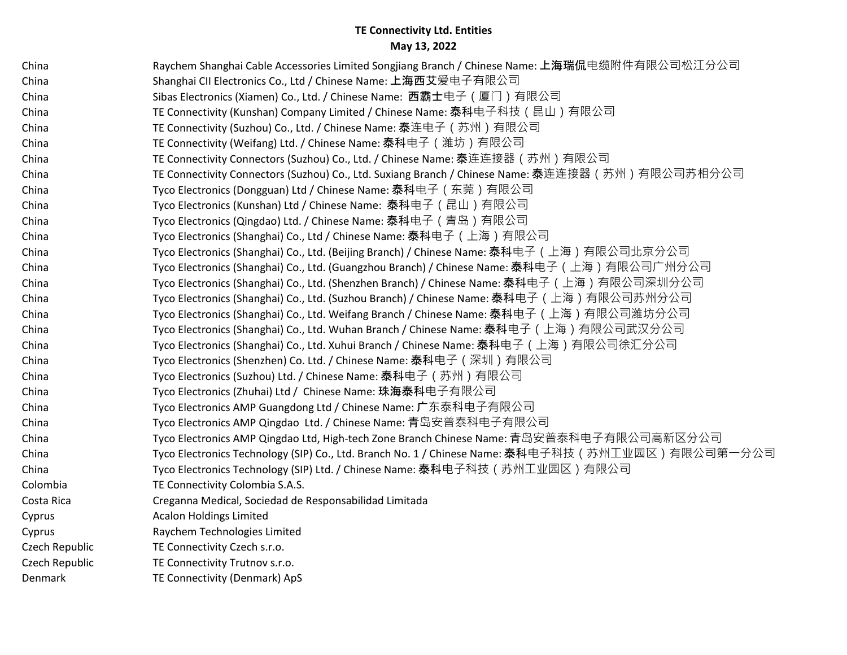| China          | Raychem Shanghai Cable Accessories Limited Songjiang Branch / Chinese Name: 上海瑞侃电缆附件有限公司松江分公司      |
|----------------|----------------------------------------------------------------------------------------------------|
| China          | Shanghai CII Electronics Co., Ltd / Chinese Name: 上海西艾爱电子有限公司                                      |
| China          | Sibas Electronics (Xiamen) Co., Ltd. / Chinese Name: 西霸士电子 (厦门) 有限公司                               |
| China          | TE Connectivity (Kunshan) Company Limited / Chinese Name: 泰科电子科技 (昆山) 有限公司                         |
| China          | TE Connectivity (Suzhou) Co., Ltd. / Chinese Name: 泰连电子 ( 苏州 ) 有限公司                                |
| China          | TE Connectivity (Weifang) Ltd. / Chinese Name: 泰科电子 ( 潍坊 ) 有限公司                                    |
| China          | TE Connectivity Connectors (Suzhou) Co., Ltd. / Chinese Name: 泰连连接器 ( 苏州 ) 有限公司                    |
| China          | TE Connectivity Connectors (Suzhou) Co., Ltd. Suxiang Branch / Chinese Name: 泰连连接器 (苏州) 有限公司苏相分公司  |
| China          | Tyco Electronics (Dongguan) Ltd / Chinese Name: 泰科电子 (东莞) 有限公司                                     |
| China          | Tyco Electronics (Kunshan) Ltd / Chinese Name: 泰科电子 ( 昆山 ) 有限公司                                    |
| China          | Tyco Electronics (Qingdao) Ltd. / Chinese Name: 泰科电子 ( 青岛 ) 有限公司                                   |
| China          | Tyco Electronics (Shanghai) Co., Ltd / Chinese Name: 泰科电子 ( 上海 ) 有限公司                              |
| China          | Tyco Electronics (Shanghai) Co., Ltd. (Beijing Branch) / Chinese Name: 泰科电子 (上海) 有限公司北京分公司         |
| China          | Tyco Electronics (Shanghai) Co., Ltd. (Guangzhou Branch) / Chinese Name: 泰科电子 (上海) 有限公司广州分公司       |
| China          | Tyco Electronics (Shanghai) Co., Ltd. (Shenzhen Branch) / Chinese Name: 泰科电子 (上海) 有限公司深圳分公司        |
| China          | Tyco Electronics (Shanghai) Co., Ltd. (Suzhou Branch) / Chinese Name: 泰科电子(上海)有限公司苏州分公司            |
| China          | Tyco Electronics (Shanghai) Co., Ltd. Weifang Branch / Chinese Name: 泰科电子 (上海) 有限公司潍坊分公司           |
| China          | Tyco Electronics (Shanghai) Co., Ltd. Wuhan Branch / Chinese Name: 泰科电子 (上海) 有限公司武汉分公司             |
| China          | Tyco Electronics (Shanghai) Co., Ltd. Xuhui Branch / Chinese Name: 泰科电子 (上海) 有限公司徐汇分公司             |
| China          | Tyco Electronics (Shenzhen) Co. Ltd. / Chinese Name: 泰科电子 ( 深圳 ) 有限公司                              |
| China          | Tyco Electronics (Suzhou) Ltd. / Chinese Name: 泰科电子 ( 苏州 ) 有限公司                                    |
| China          | Tyco Electronics (Zhuhai) Ltd / Chinese Name: 珠海泰科电子有限公司                                           |
| China          | Tyco Electronics AMP Guangdong Ltd / Chinese Name: 广东泰科电子有限公司                                      |
| China          | Tyco Electronics AMP Qingdao Ltd. / Chinese Name: 青岛安普泰科电子有限公司                                     |
| China          | Tyco Electronics AMP Qingdao Ltd, High-tech Zone Branch Chinese Name: 青岛安普泰科电子有限公司高新区分公司           |
| China          | Tyco Electronics Technology (SIP) Co., Ltd. Branch No. 1 / Chinese Name: 泰科电子科技 (苏州工业园区) 有限公司第一分公司 |
| China          | Tyco Electronics Technology (SIP) Ltd. / Chinese Name: <b>泰科</b> 电子科技(苏州工业园区)有限公司                  |
| Colombia       | TE Connectivity Colombia S.A.S.                                                                    |
| Costa Rica     | Creganna Medical, Sociedad de Responsabilidad Limitada                                             |
| Cyprus         | <b>Acalon Holdings Limited</b>                                                                     |
| Cyprus         | Raychem Technologies Limited                                                                       |
| Czech Republic | TE Connectivity Czech s.r.o.                                                                       |
| Czech Republic | TE Connectivity Trutnov s.r.o.                                                                     |
| Denmark        | TE Connectivity (Denmark) ApS                                                                      |
|                |                                                                                                    |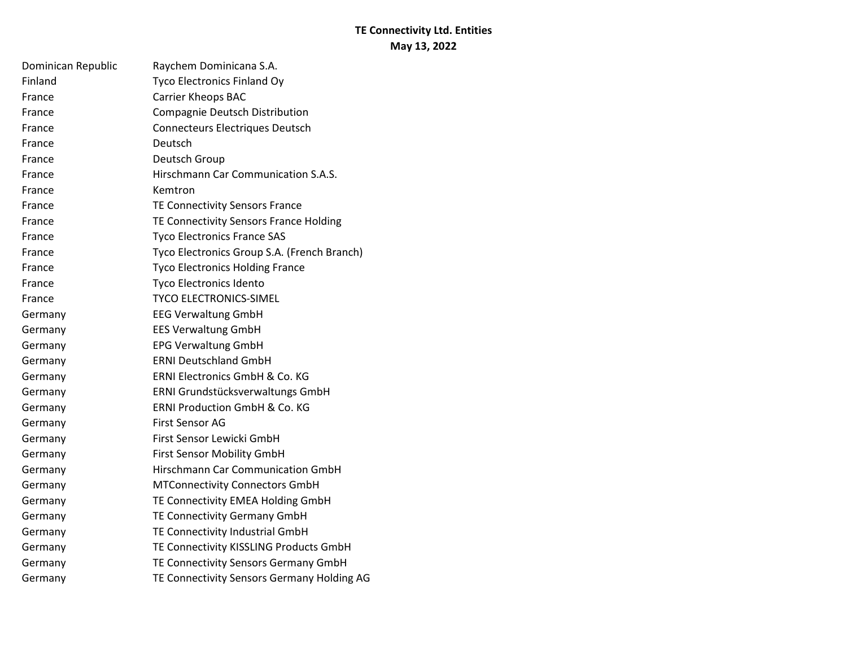| Dominican Republic | Raychem Dominicana S.A.                     |
|--------------------|---------------------------------------------|
| Finland            | <b>Tyco Electronics Finland Oy</b>          |
| France             | <b>Carrier Kheops BAC</b>                   |
| France             | Compagnie Deutsch Distribution              |
| France             | <b>Connecteurs Electriques Deutsch</b>      |
| France             | Deutsch                                     |
| France             | Deutsch Group                               |
| France             | Hirschmann Car Communication S.A.S.         |
| France             | Kemtron                                     |
| France             | <b>TE Connectivity Sensors France</b>       |
| France             | TE Connectivity Sensors France Holding      |
| France             | <b>Tyco Electronics France SAS</b>          |
| France             | Tyco Electronics Group S.A. (French Branch) |
| France             | <b>Tyco Electronics Holding France</b>      |
| France             | <b>Tyco Electronics Idento</b>              |
| France             | <b>TYCO ELECTRONICS-SIMEL</b>               |
| Germany            | <b>EEG Verwaltung GmbH</b>                  |
| Germany            | <b>EES Verwaltung GmbH</b>                  |
| Germany            | <b>EPG Verwaltung GmbH</b>                  |
| Germany            | <b>ERNI Deutschland GmbH</b>                |
| Germany            | <b>ERNI Electronics GmbH &amp; Co. KG</b>   |
| Germany            | ERNI Grundstücksverwaltungs GmbH            |
| Germany            | <b>ERNI Production GmbH &amp; Co. KG</b>    |
| Germany            | First Sensor AG                             |
| Germany            | First Sensor Lewicki GmbH                   |
| Germany            | First Sensor Mobility GmbH                  |
| Germany            | Hirschmann Car Communication GmbH           |
| Germany            | <b>MTConnectivity Connectors GmbH</b>       |
| Germany            | TE Connectivity EMEA Holding GmbH           |
| Germany            | TE Connectivity Germany GmbH                |
| Germany            | TE Connectivity Industrial GmbH             |
| Germany            | TE Connectivity KISSLING Products GmbH      |
| Germany            | TE Connectivity Sensors Germany GmbH        |
| Germany            | TE Connectivity Sensors Germany Holding AG  |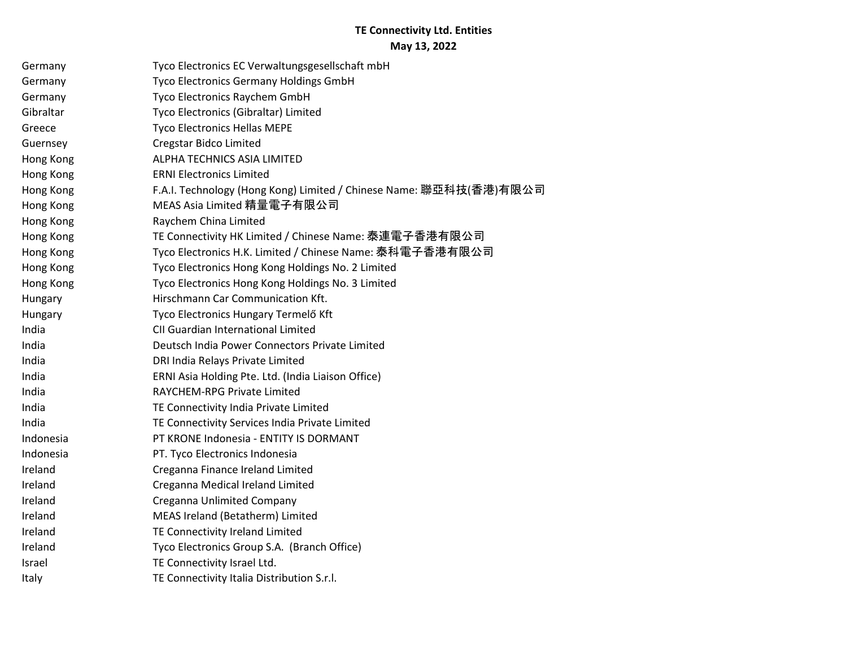| Germany   | Tyco Electronics EC Verwaltungsgesellschaft mbH                    |
|-----------|--------------------------------------------------------------------|
| Germany   | <b>Tyco Electronics Germany Holdings GmbH</b>                      |
| Germany   | Tyco Electronics Raychem GmbH                                      |
| Gibraltar | Tyco Electronics (Gibraltar) Limited                               |
| Greece    | <b>Tyco Electronics Hellas MEPE</b>                                |
| Guernsey  | Cregstar Bidco Limited                                             |
| Hong Kong | ALPHA TECHNICS ASIA LIMITED                                        |
| Hong Kong | <b>ERNI Electronics Limited</b>                                    |
| Hong Kong | F.A.I. Technology (Hong Kong) Limited / Chinese Name: 聯亞科技(香港)有限公司 |
| Hong Kong | MEAS Asia Limited 精量電子有限公司                                         |
| Hong Kong | Raychem China Limited                                              |
| Hong Kong | TE Connectivity HK Limited / Chinese Name: 泰連電子香港有限公司              |
| Hong Kong | Tyco Electronics H.K. Limited / Chinese Name: 泰科電子香港有限公司           |
| Hong Kong | Tyco Electronics Hong Kong Holdings No. 2 Limited                  |
| Hong Kong | Tyco Electronics Hong Kong Holdings No. 3 Limited                  |
| Hungary   | Hirschmann Car Communication Kft.                                  |
| Hungary   | Tyco Electronics Hungary Termelő Kft                               |
| India     | CII Guardian International Limited                                 |
| India     | Deutsch India Power Connectors Private Limited                     |
| India     | DRI India Relays Private Limited                                   |
| India     | ERNI Asia Holding Pte. Ltd. (India Liaison Office)                 |
| India     | <b>RAYCHEM-RPG Private Limited</b>                                 |
| India     | TE Connectivity India Private Limited                              |
| India     | TE Connectivity Services India Private Limited                     |
| Indonesia | PT KRONE Indonesia - ENTITY IS DORMANT                             |
| Indonesia | PT. Tyco Electronics Indonesia                                     |
| Ireland   | Creganna Finance Ireland Limited                                   |
| Ireland   | Creganna Medical Ireland Limited                                   |
| Ireland   | Creganna Unlimited Company                                         |
| Ireland   | MEAS Ireland (Betatherm) Limited                                   |
| Ireland   | TE Connectivity Ireland Limited                                    |
| Ireland   | Tyco Electronics Group S.A. (Branch Office)                        |
| Israel    | TE Connectivity Israel Ltd.                                        |
| Italy     | TE Connectivity Italia Distribution S.r.l.                         |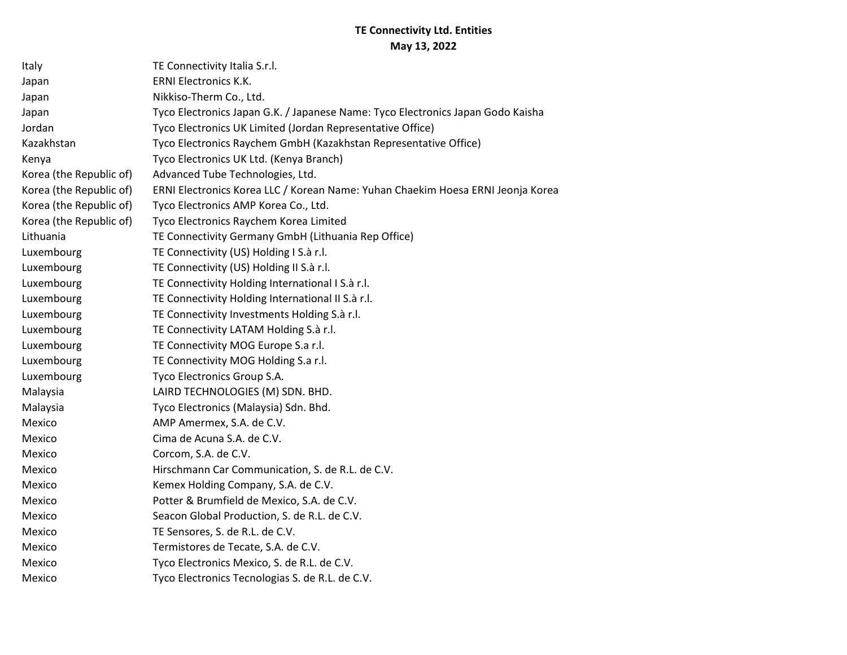| Italy                   | TE Connectivity Italia S.r.l.                                                   |
|-------------------------|---------------------------------------------------------------------------------|
| Japan                   | <b>ERNI Electronics K.K.</b>                                                    |
| Japan                   | Nikkiso-Therm Co., Ltd.                                                         |
| Japan                   | Tyco Electronics Japan G.K. / Japanese Name: Tyco Electronics Japan Godo Kaisha |
| Jordan                  | Tyco Electronics UK Limited (Jordan Representative Office)                      |
| Kazakhstan              | Tyco Electronics Raychem GmbH (Kazakhstan Representative Office)                |
| Kenya                   | Tyco Electronics UK Ltd. (Kenya Branch)                                         |
| Korea (the Republic of) | Advanced Tube Technologies, Ltd.                                                |
| Korea (the Republic of) | ERNI Electronics Korea LLC / Korean Name: Yuhan Chaekim Hoesa ERNI Jeonja Korea |
| Korea (the Republic of) | Tyco Electronics AMP Korea Co., Ltd.                                            |
| Korea (the Republic of) | Tyco Electronics Raychem Korea Limited                                          |
| Lithuania               | TE Connectivity Germany GmbH (Lithuania Rep Office)                             |
| Luxembourg              | TE Connectivity (US) Holding I S.à r.l.                                         |
| Luxembourg              | TE Connectivity (US) Holding II S.à r.l.                                        |
| Luxembourg              | TE Connectivity Holding International I S.à r.l.                                |
| Luxembourg              | TE Connectivity Holding International II S.à r.l.                               |
| Luxembourg              | TE Connectivity Investments Holding S.à r.l.                                    |
| Luxembourg              | TE Connectivity LATAM Holding S.à r.l.                                          |
| Luxembourg              | TE Connectivity MOG Europe S.a r.l.                                             |
| Luxembourg              | TE Connectivity MOG Holding S.a r.l.                                            |
| Luxembourg              | Tyco Electronics Group S.A.                                                     |
| Malaysia                | LAIRD TECHNOLOGIES (M) SDN. BHD.                                                |
| Malaysia                | Tyco Electronics (Malaysia) Sdn. Bhd.                                           |
| Mexico                  | AMP Amermex, S.A. de C.V.                                                       |
| Mexico                  | Cima de Acuna S.A. de C.V.                                                      |
| Mexico                  | Corcom, S.A. de C.V.                                                            |
| Mexico                  | Hirschmann Car Communication, S. de R.L. de C.V.                                |
| Mexico                  | Kemex Holding Company, S.A. de C.V.                                             |
| Mexico                  | Potter & Brumfield de Mexico, S.A. de C.V.                                      |
| Mexico                  | Seacon Global Production, S. de R.L. de C.V.                                    |
| Mexico                  | TE Sensores, S. de R.L. de C.V.                                                 |
| Mexico                  | Termistores de Tecate, S.A. de C.V.                                             |
| Mexico                  | Tyco Electronics Mexico, S. de R.L. de C.V.                                     |
| Mexico                  | Tyco Electronics Tecnologias S. de R.L. de C.V.                                 |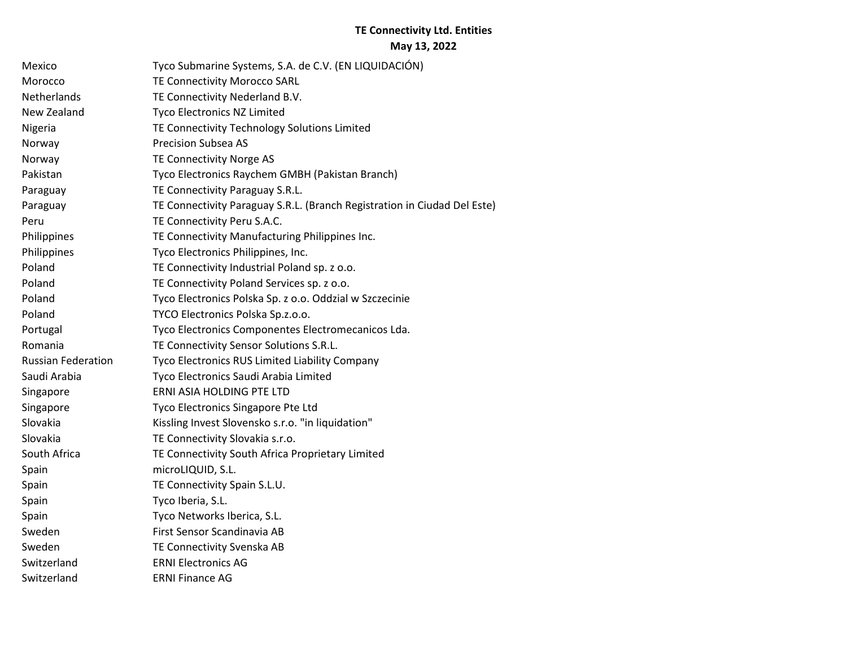| Mexico                    | Tyco Submarine Systems, S.A. de C.V. (EN LIQUIDACIÓN)                    |
|---------------------------|--------------------------------------------------------------------------|
| Morocco                   | <b>TE Connectivity Morocco SARL</b>                                      |
| Netherlands               | TE Connectivity Nederland B.V.                                           |
| New Zealand               | Tyco Electronics NZ Limited                                              |
| Nigeria                   | TE Connectivity Technology Solutions Limited                             |
| Norway                    | <b>Precision Subsea AS</b>                                               |
| Norway                    | TE Connectivity Norge AS                                                 |
| Pakistan                  | Tyco Electronics Raychem GMBH (Pakistan Branch)                          |
| Paraguay                  | TE Connectivity Paraguay S.R.L.                                          |
| Paraguay                  | TE Connectivity Paraguay S.R.L. (Branch Registration in Ciudad Del Este) |
| Peru                      | TE Connectivity Peru S.A.C.                                              |
| Philippines               | TE Connectivity Manufacturing Philippines Inc.                           |
| Philippines               | Tyco Electronics Philippines, Inc.                                       |
| Poland                    | TE Connectivity Industrial Poland sp. z o.o.                             |
| Poland                    | TE Connectivity Poland Services sp. z o.o.                               |
| Poland                    | Tyco Electronics Polska Sp. z o.o. Oddzial w Szczecinie                  |
| Poland                    | TYCO Electronics Polska Sp.z.o.o.                                        |
| Portugal                  | Tyco Electronics Componentes Electromecanicos Lda.                       |
| Romania                   | TE Connectivity Sensor Solutions S.R.L.                                  |
| <b>Russian Federation</b> | Tyco Electronics RUS Limited Liability Company                           |
| Saudi Arabia              | Tyco Electronics Saudi Arabia Limited                                    |
| Singapore                 | ERNI ASIA HOLDING PTE LTD                                                |
| Singapore                 | Tyco Electronics Singapore Pte Ltd                                       |
| Slovakia                  | Kissling Invest Slovensko s.r.o. "in liquidation"                        |
| Slovakia                  | TE Connectivity Slovakia s.r.o.                                          |
| South Africa              | TE Connectivity South Africa Proprietary Limited                         |
| Spain                     | microLIQUID, S.L.                                                        |
| Spain                     | TE Connectivity Spain S.L.U.                                             |
| Spain                     | Tyco Iberia, S.L.                                                        |
| Spain                     | Tyco Networks Iberica, S.L.                                              |
| Sweden                    | First Sensor Scandinavia AB                                              |
| Sweden                    | TE Connectivity Svenska AB                                               |
| Switzerland               | <b>ERNI Electronics AG</b>                                               |
| Switzerland               | <b>ERNI Finance AG</b>                                                   |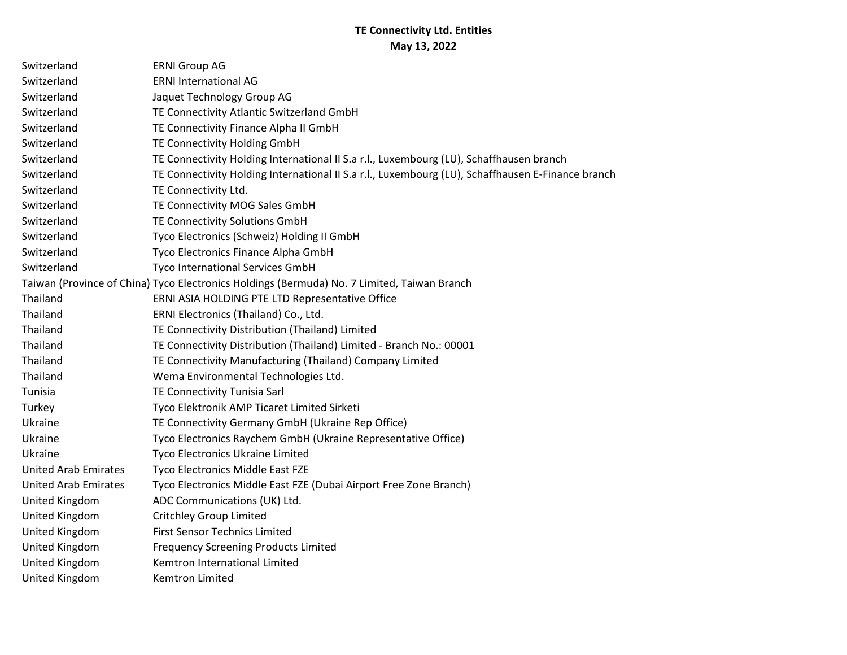| Switzerland                 | <b>ERNI Group AG</b>                                                                              |
|-----------------------------|---------------------------------------------------------------------------------------------------|
| Switzerland                 | <b>ERNI International AG</b>                                                                      |
| Switzerland                 | Jaquet Technology Group AG                                                                        |
| Switzerland                 | TE Connectivity Atlantic Switzerland GmbH                                                         |
| Switzerland                 | TE Connectivity Finance Alpha II GmbH                                                             |
| Switzerland                 | TE Connectivity Holding GmbH                                                                      |
| Switzerland                 | TE Connectivity Holding International II S.a r.l., Luxembourg (LU), Schaffhausen branch           |
| Switzerland                 | TE Connectivity Holding International II S.a r.l., Luxembourg (LU), Schaffhausen E-Finance branch |
| Switzerland                 | TE Connectivity Ltd.                                                                              |
| Switzerland                 | TE Connectivity MOG Sales GmbH                                                                    |
| Switzerland                 | TE Connectivity Solutions GmbH                                                                    |
| Switzerland                 | Tyco Electronics (Schweiz) Holding II GmbH                                                        |
| Switzerland                 | Tyco Electronics Finance Alpha GmbH                                                               |
| Switzerland                 | Tyco International Services GmbH                                                                  |
|                             | Taiwan (Province of China) Tyco Electronics Holdings (Bermuda) No. 7 Limited, Taiwan Branch       |
| Thailand                    | ERNI ASIA HOLDING PTE LTD Representative Office                                                   |
| Thailand                    | ERNI Electronics (Thailand) Co., Ltd.                                                             |
| Thailand                    | TE Connectivity Distribution (Thailand) Limited                                                   |
| Thailand                    | TE Connectivity Distribution (Thailand) Limited - Branch No.: 00001                               |
| Thailand                    | TE Connectivity Manufacturing (Thailand) Company Limited                                          |
| Thailand                    | Wema Environmental Technologies Ltd.                                                              |
| Tunisia                     | TE Connectivity Tunisia Sarl                                                                      |
| Turkey                      | Tyco Elektronik AMP Ticaret Limited Sirketi                                                       |
| Ukraine                     | TE Connectivity Germany GmbH (Ukraine Rep Office)                                                 |
| Ukraine                     | Tyco Electronics Raychem GmbH (Ukraine Representative Office)                                     |
| Ukraine                     | Tyco Electronics Ukraine Limited                                                                  |
| <b>United Arab Emirates</b> | Tyco Electronics Middle East FZE                                                                  |
| <b>United Arab Emirates</b> | Tyco Electronics Middle East FZE (Dubai Airport Free Zone Branch)                                 |
| United Kingdom              | ADC Communications (UK) Ltd.                                                                      |
| United Kingdom              | <b>Critchley Group Limited</b>                                                                    |
| United Kingdom              | <b>First Sensor Technics Limited</b>                                                              |
| United Kingdom              | <b>Frequency Screening Products Limited</b>                                                       |
| United Kingdom              | Kemtron International Limited                                                                     |
| United Kingdom              | Kemtron Limited                                                                                   |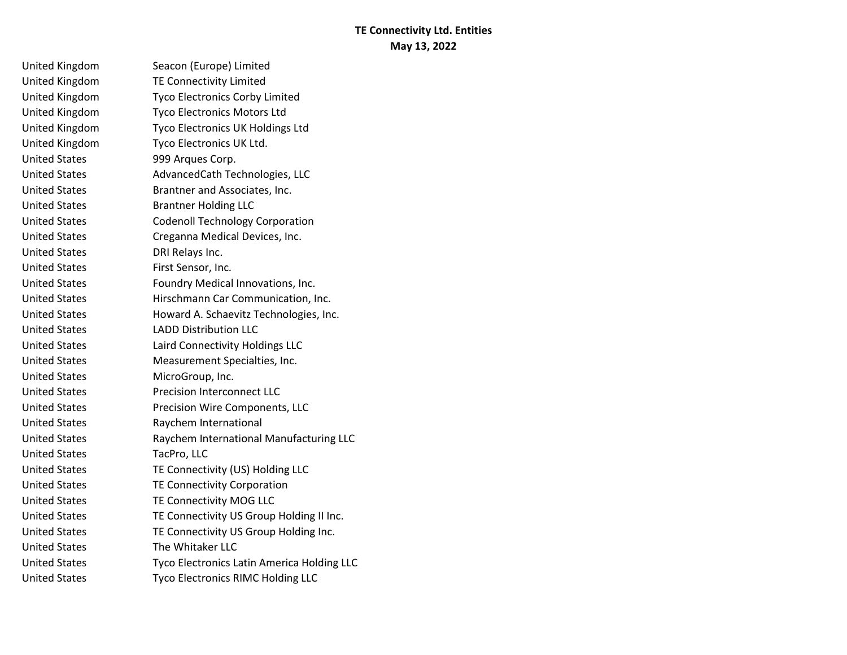United Kingdom Seacon (Europe) Limited United Kingdom TE Connectivity Limited United Kingdom Tyco Electronics Corby Limited United Kingdom Tyco Electronics Motors Ltd United Kingdom Tyco Electronics UK Holdings Ltd United Kingdom Tyco Electronics UK Ltd. United States 999 Arques Corp. United States **AdvancedCath Technologies, LLC** United States Brantner and Associates, Inc. United States Brantner Holding LLC United States Codenoll Technology Corporation United States Creganna Medical Devices, Inc. United States DRI Relays Inc. United States First Sensor, Inc. United States Foundry Medical Innovations, Inc. United States Hirschmann Car Communication, Inc. United States Howard A. Schaevitz Technologies, Inc. United States LADD Distribution LLC United States Laird Connectivity Holdings LLC United States Measurement Specialties, Inc. United States MicroGroup, Inc. United States Precision Interconnect LLC United States Precision Wire Components, LLC United States Raychem International United States **Raychem International Manufacturing LLC** United States TacPro, LLC United States TE Connectivity (US) Holding LLC United States TE Connectivity Corporation United States TE Connectivity MOG LLC United States TE Connectivity US Group Holding II Inc. United States TE Connectivity US Group Holding Inc. United States The Whitaker LLC United States Tyco Electronics Latin America Holding LLC United States Tyco Electronics RIMC Holding LLC